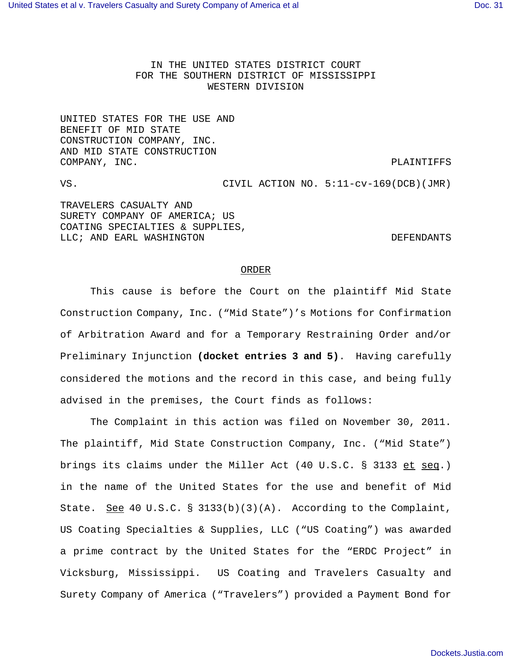IN THE UNITED STATES DISTRICT COURT FOR THE SOUTHERN DISTRICT OF MISSISSIPPI WESTERN DIVISION

UNITED STATES FOR THE USE AND BENEFIT OF MID STATE CONSTRUCTION COMPANY, INC. AND MID STATE CONSTRUCTION COMPANY, INC. The company of the company of the company of the company of the company of the company of the company of the company of the company of the company of the company of the company of the company of the company o

VS. CIVIL ACTION NO. 5:11-cv-169(DCB)(JMR) TRAVELERS CASUALTY AND SURETY COMPANY OF AMERICA; US COATING SPECIALTIES & SUPPLIES, LLC; AND EARL WASHINGTON **EXAMPLE ASSESSED** DEFENDANTS

## ORDER

This cause is before the Court on the plaintiff Mid State Construction Company, Inc. ("Mid State")'s Motions for Confirmation of Arbitration Award and for a Temporary Restraining Order and/or Preliminary Injunction **(docket entries 3 and 5)**. Having carefully considered the motions and the record in this case, and being fully advised in the premises, the Court finds as follows:

The Complaint in this action was filed on November 30, 2011. The plaintiff, Mid State Construction Company, Inc. ("Mid State") brings its claims under the Miller Act (40 U.S.C. § 3133 et seq.) in the name of the United States for the use and benefit of Mid State. See 40 U.S.C. § 3133(b)(3)(A). According to the Complaint, US Coating Specialties & Supplies, LLC ("US Coating") was awarded a prime contract by the United States for the "ERDC Project" in Vicksburg, Mississippi. US Coating and Travelers Casualty and Surety Company of America ("Travelers") provided a Payment Bond for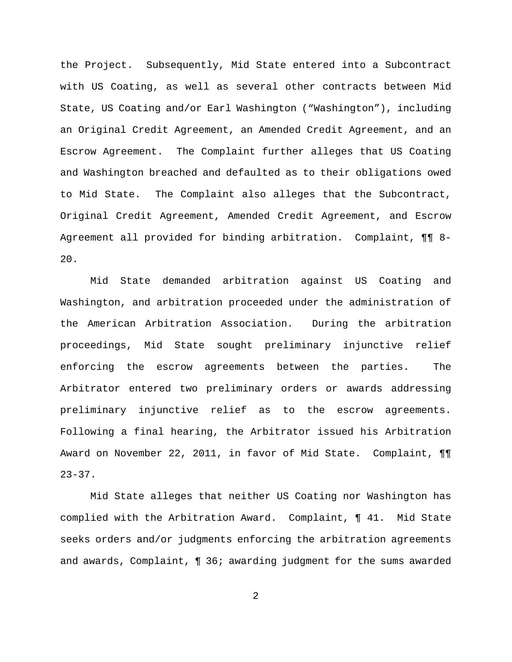the Project. Subsequently, Mid State entered into a Subcontract with US Coating, as well as several other contracts between Mid State, US Coating and/or Earl Washington ("Washington"), including an Original Credit Agreement, an Amended Credit Agreement, and an Escrow Agreement. The Complaint further alleges that US Coating and Washington breached and defaulted as to their obligations owed to Mid State. The Complaint also alleges that the Subcontract, Original Credit Agreement, Amended Credit Agreement, and Escrow Agreement all provided for binding arbitration. Complaint, ¶¶ 8- 20.

Mid State demanded arbitration against US Coating and Washington, and arbitration proceeded under the administration of the American Arbitration Association. During the arbitration proceedings, Mid State sought preliminary injunctive relief enforcing the escrow agreements between the parties. The Arbitrator entered two preliminary orders or awards addressing preliminary injunctive relief as to the escrow agreements. Following a final hearing, the Arbitrator issued his Arbitration Award on November 22, 2011, in favor of Mid State. Complaint, ¶¶  $23 - 37$ .

Mid State alleges that neither US Coating nor Washington has complied with the Arbitration Award. Complaint, ¶ 41. Mid State seeks orders and/or judgments enforcing the arbitration agreements and awards, Complaint, ¶ 36; awarding judgment for the sums awarded

2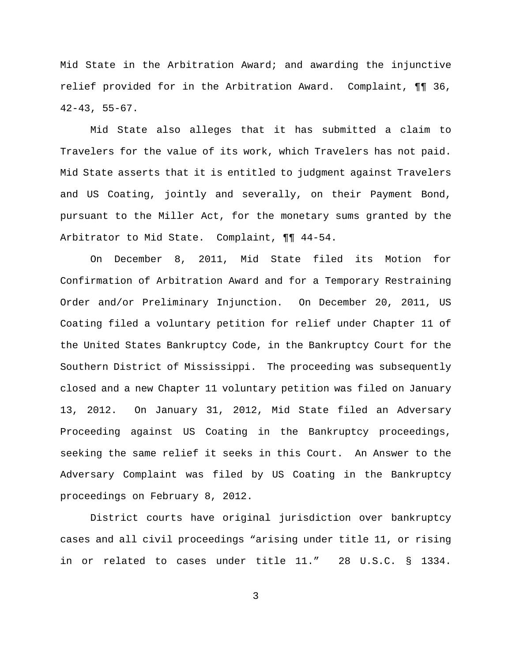Mid State in the Arbitration Award; and awarding the injunctive relief provided for in the Arbitration Award. Complaint, ¶¶ 36, 42-43, 55-67.

Mid State also alleges that it has submitted a claim to Travelers for the value of its work, which Travelers has not paid. Mid State asserts that it is entitled to judgment against Travelers and US Coating, jointly and severally, on their Payment Bond, pursuant to the Miller Act, for the monetary sums granted by the Arbitrator to Mid State. Complaint, ¶¶ 44-54.

On December 8, 2011, Mid State filed its Motion for Confirmation of Arbitration Award and for a Temporary Restraining Order and/or Preliminary Injunction. On December 20, 2011, US Coating filed a voluntary petition for relief under Chapter 11 of the United States Bankruptcy Code, in the Bankruptcy Court for the Southern District of Mississippi. The proceeding was subsequently closed and a new Chapter 11 voluntary petition was filed on January 13, 2012. On January 31, 2012, Mid State filed an Adversary Proceeding against US Coating in the Bankruptcy proceedings, seeking the same relief it seeks in this Court. An Answer to the Adversary Complaint was filed by US Coating in the Bankruptcy proceedings on February 8, 2012.

District courts have original jurisdiction over bankruptcy cases and all civil proceedings "arising under title 11, or rising in or related to cases under title 11." 28 U.S.C. § 1334.

3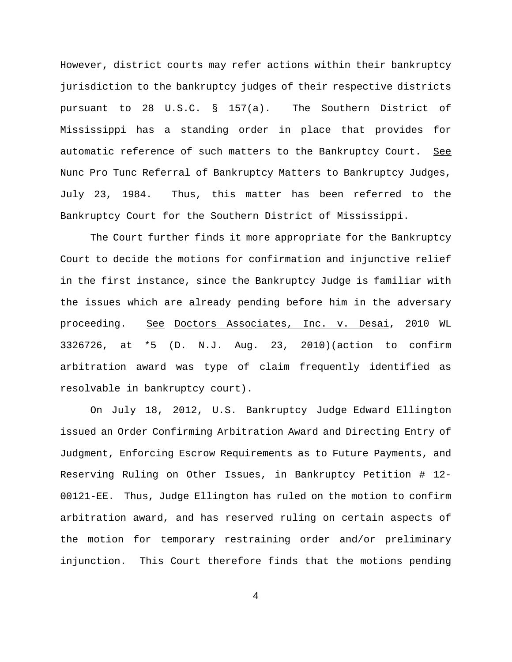However, district courts may refer actions within their bankruptcy jurisdiction to the bankruptcy judges of their respective districts pursuant to 28 U.S.C. § 157(a). The Southern District of Mississippi has a standing order in place that provides for automatic reference of such matters to the Bankruptcy Court. See Nunc Pro Tunc Referral of Bankruptcy Matters to Bankruptcy Judges, July 23, 1984. Thus, this matter has been referred to the Bankruptcy Court for the Southern District of Mississippi.

The Court further finds it more appropriate for the Bankruptcy Court to decide the motions for confirmation and injunctive relief in the first instance, since the Bankruptcy Judge is familiar with the issues which are already pending before him in the adversary proceeding. See Doctors Associates, Inc. v. Desai, 2010 WL 3326726, at \*5 (D. N.J. Aug. 23, 2010)(action to confirm arbitration award was type of claim frequently identified as resolvable in bankruptcy court).

 On July 18, 2012, U.S. Bankruptcy Judge Edward Ellington issued an Order Confirming Arbitration Award and Directing Entry of Judgment, Enforcing Escrow Requirements as to Future Payments, and Reserving Ruling on Other Issues, in Bankruptcy Petition # 12- 00121-EE. Thus, Judge Ellington has ruled on the motion to confirm arbitration award, and has reserved ruling on certain aspects of the motion for temporary restraining order and/or preliminary injunction. This Court therefore finds that the motions pending

4